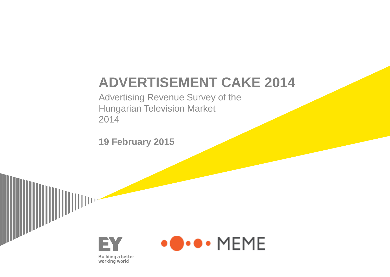### **ADVERTISEMENT CAKE 2014**

Advertising Revenue Survey of the Hungarian Television Market 2014

**19 February 2015**



**Building a better<br>working world** 

EY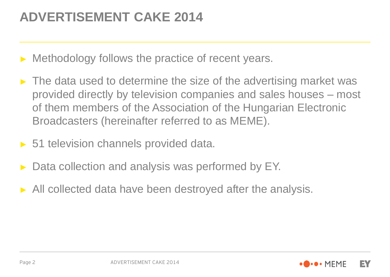### **ADVERTISEMENT CAKE 2014**

- Methodology follows the practice of recent years.
- $\blacktriangleright$  The data used to determine the size of the advertising market was provided directly by television companies and sales houses – most of them members of the Association of the Hungarian Electronic Broadcasters (hereinafter referred to as MEME).
- ► 51 television channels provided data.
- Data collection and analysis was performed by EY.
- ► All collected data have been destroyed after the analysis.

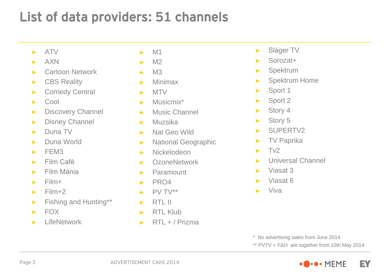### List of data providers: 51 channels

- ► ATV
- ► AXN
- ► Cartoon Network
- ► CBS Reality
- ► Comedy Central
- ► Cool
- ► Discovery Channel
- ► Disney Channel
- ► Duna TV
- ► Duna World
- $\blacktriangleright$  FFM3
- ► Film Café
- ► Film Mánia
- $\blacktriangleright$  Film+
- $\blacktriangleright$  Film+2
- ► Fishing and Hunting\*\*
- $\blacktriangleright$  FOX
- ► LifeNetwork
- $\blacktriangleright$  M1
- $\blacktriangleright$  M2
- $ightharpoonup$  M3
- ► Minimax
- ► MTV
- ► Musicmix\*
- ► Music Channel
- ► Muzsika
- ► Nat Geo Wild
- ► National Geographic
- ► Nickelodeon
- ► OzoneNetwork
- ► Paramount
- ► PRO4
- $\blacktriangleright$  PV TV\*\*
- $\blacktriangleright$  RTL II
- ► RTL Klub
- ► RTL + / Prizma
- ► Sláger TV
- ► Sorozat+
- ► Spektrum
- ► Spektrum Home
- ► Sport 1
- ► Sport 2
- ► Story 4
- ► Story 5
- ► SUPERTV2
- ► TV Paprika
- $\blacktriangleright$  Tv2
- ► Universal Channel
- ► Viasat 3
- Viasat 6
- $\blacktriangleright$  Viva

\* No advertising sales from June 2014

\*\* PVTV + F&H are together from 15th May 2014

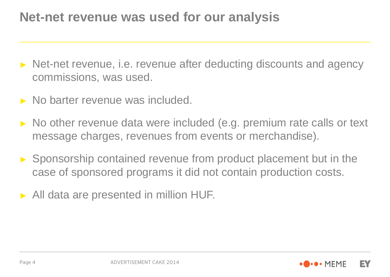### **Net-net revenue was used for our analysis**

- ► Net-net revenue, i.e. revenue after deducting discounts and agency commissions, was used.
- ► No barter revenue was included.
- ► No other revenue data were included (e.g. premium rate calls or text message charges, revenues from events or merchandise).
- ► Sponsorship contained revenue from product placement but in the case of sponsored programs it did not contain production costs.
- ► All data are presented in million HUF.

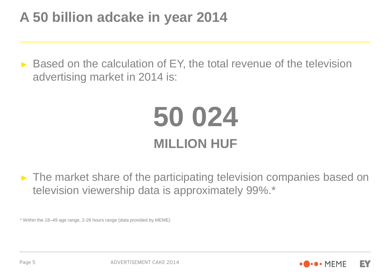### **A 50 billion adcake in year 2014**

► Based on the calculation of EY, the total revenue of the television advertising market in 2014 is:

## **50 024 MILLION HUF**

► The market share of the participating television companies based on television viewership data is approximately 99%.\*

\* Within the 18–49 age range, 2-26 hours range (data provided by MEME)

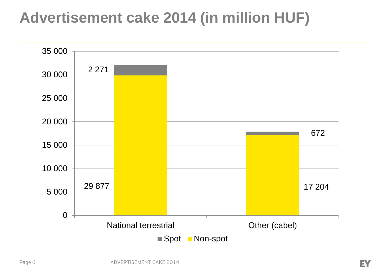### **Advertisement cake 2014 (in million HUF)**

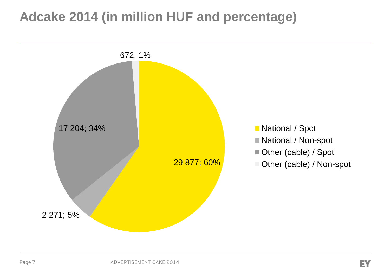### **Adcake 2014 (in million HUF and percentage)**

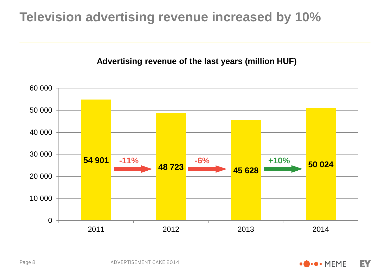### **Television advertising revenue increased by 10%**

#### **Advertising revenue of the last years (million HUF)**



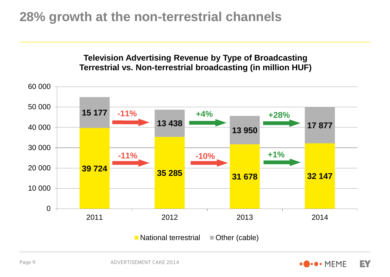### **28% growth at the non-terrestrial channels**



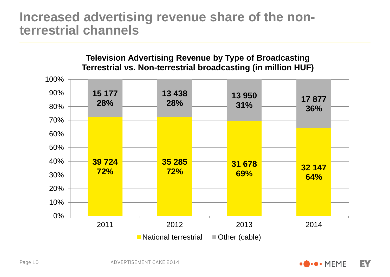### **Increased advertising revenue share of the nonterrestrial channels**



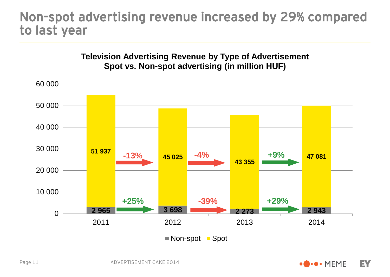### Non-spot advertising revenue increased by 29% compared to last year





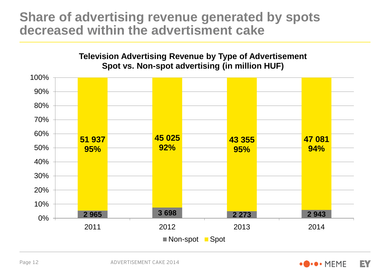### **Share of advertising revenue generated by spots decreased within the advertisment cake**



Page 12

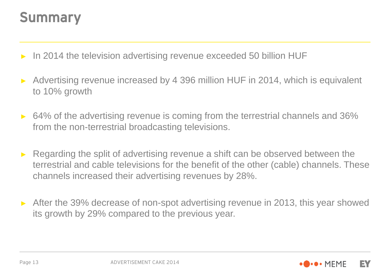### Summary

- ► In 2014 the television advertising revenue exceeded 50 billion HUF
- Advertising revenue increased by 4 396 million HUF in 2014, which is equivalent to 10% growth
- ► 64% of the advertising revenue is coming from the terrestrial channels and 36% from the non-terrestrial broadcasting televisions.
- Regarding the split of advertising revenue a shift can be observed between the terrestrial and cable televisions for the benefit of the other (cable) channels. These channels increased their advertising revenues by 28%.
- After the 39% decrease of non-spot advertising revenue in 2013, this year showed its growth by 29% compared to the previous year.



Page 13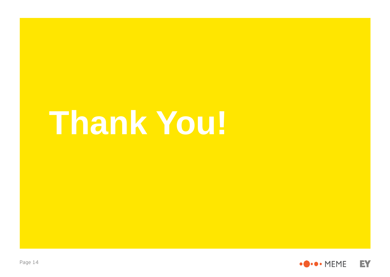# **Thank You!**